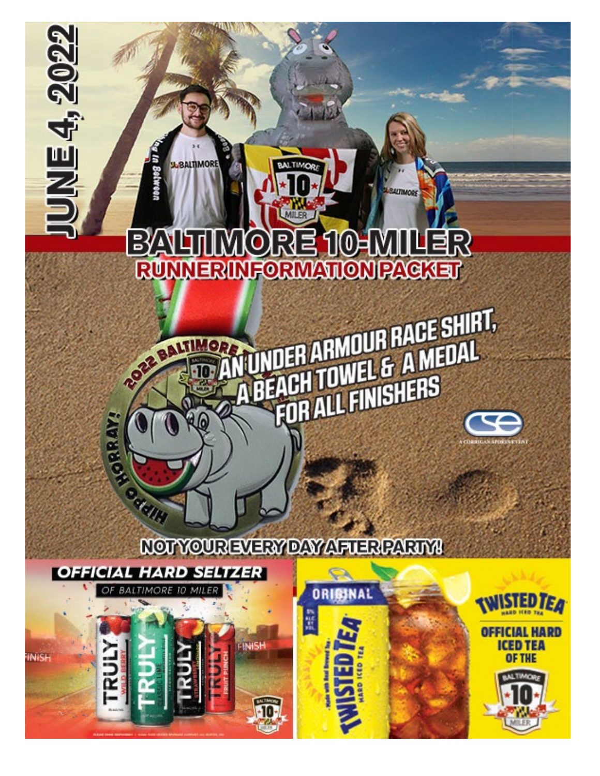# BALTIMORE 10-MILER<br>RUMERIMFORMATIONPAGKET BAIL

**DER ARMOUR RACE SHIRT,<br>ACH TOWEL & A MEDAL<br>FOR ALL FINISHERS** 

**U.BALTIMORE** 

ROZZ BALTIN

**MURRON** 

ichel (

**UNE4, 2022** 

## NOTYOUREVERY DAY AFUERPARIYA

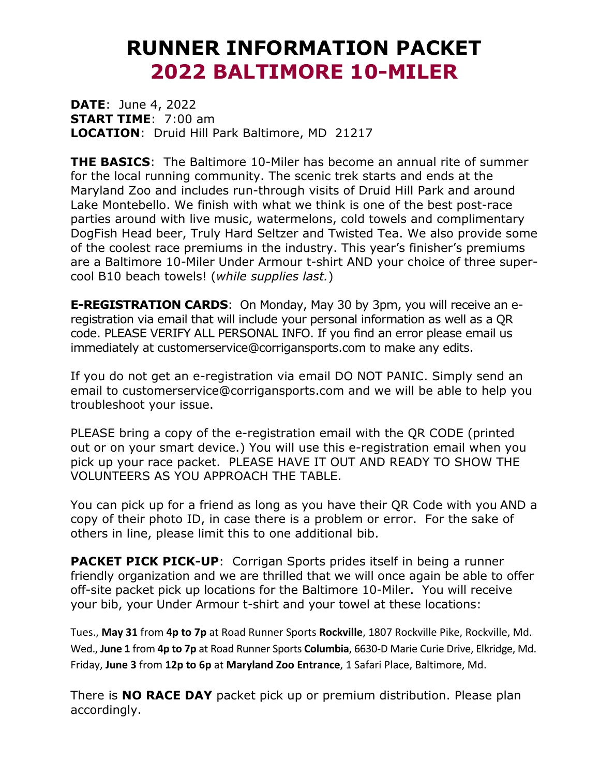# **RUNNER INFORMATION PACKET 2022 BALTIMORE 10-MILER**

**DATE**: June 4, 2022 **START TIME**: 7:00 am **LOCATION**: Druid Hill Park Baltimore, MD 21217

**THE BASICS**: The Baltimore 10-Miler has become an annual rite of summer for the local running community. The scenic trek starts and ends at the Maryland Zoo and includes run-through visits of Druid Hill Park and around Lake Montebello. We finish with what we think is one of the best post-race parties around with live music, watermelons, cold towels and complimentary DogFish Head beer, Truly Hard Seltzer and Twisted Tea. We also provide some of the coolest race premiums in the industry. This year's finisher's premiums are a Baltimore 10-Miler Under Armour t-shirt AND your choice of three supercool B10 beach towels! (*while supplies last.*)

**E-REGISTRATION CARDS**: On Monday, May 30 by 3pm, you will receive an eregistration via email that will include your personal information as well as a QR code. PLEASE VERIFY ALL PERSONAL INFO. If you find an error please email us immediately at customerservice@corrigansports.com to make any edits.

If you do not get an e-registration via email DO NOT PANIC. Simply send an email to customerservice@corrigansports.com and we will be able to help you troubleshoot your issue.

PLEASE bring a copy of the e-registration email with the QR CODE (printed out or on your smart device.) You will use this e-registration email when you pick up your race packet. PLEASE HAVE IT OUT AND READY TO SHOW THE VOLUNTEERS AS YOU APPROACH THE TABLE.

You can pick up for a friend as long as you have their QR Code with you AND a copy of their photo ID, in case there is a problem or error. For the sake of others in line, please limit this to one additional bib.

**PACKET PICK PICK-UP**: Corrigan Sports prides itself in being a runner friendly organization and we are thrilled that we will once again be able to offer off-site packet pick up locations for the Baltimore 10-Miler. You will receive your bib, your Under Armour t-shirt and your towel at these locations:

Tues., **May 31** from **4p to 7p** at Road Runner Sports **Rockville**, 1807 Rockville Pike, Rockville, Md. Wed., **June 1** from **4p to 7p** at Road Runner Sports **Columbia**, 6630-D Marie Curie Drive, Elkridge, Md. Friday, **June 3** from **12p to 6p** at **Maryland Zoo Entrance**, 1 Safari Place, Baltimore, Md.

There is **NO RACE DAY** packet pick up or premium distribution. Please plan accordingly.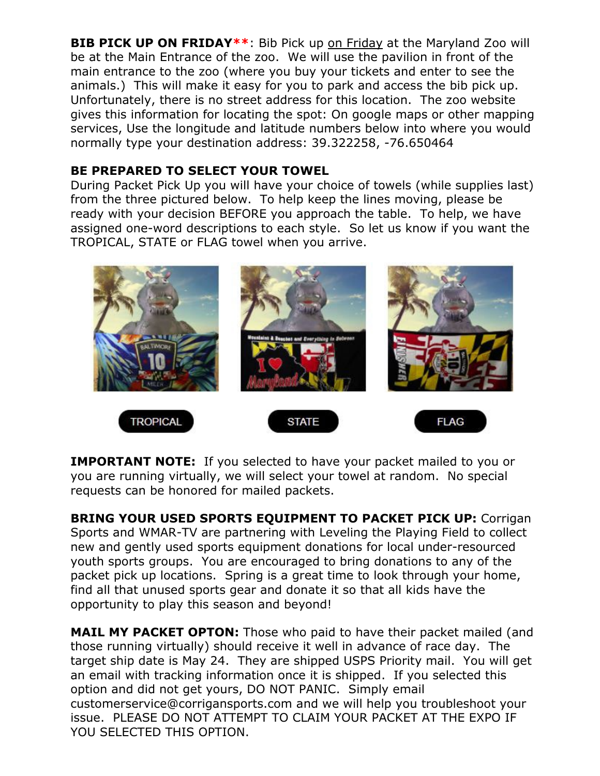**BIB PICK UP ON FRIDAY\*\***: Bib Pick up on Friday at the Maryland Zoo will be at the Main Entrance of the zoo. We will use the pavilion in front of the main entrance to the zoo (where you buy your tickets and enter to see the animals.) This will make it easy for you to park and access the bib pick up. Unfortunately, there is no street address for this location. The zoo website gives this information for locating the spot: On google maps or other mapping services, Use the longitude and latitude numbers below into where you would normally type your destination address: 39.322258, -76.650464

## **BE PREPARED TO SELECT YOUR TOWEL**

During Packet Pick Up you will have your choice of towels (while supplies last) from the three pictured below. To help keep the lines moving, please be ready with your decision BEFORE you approach the table. To help, we have assigned one-word descriptions to each style. So let us know if you want the TROPICAL, STATE or FLAG towel when you arrive.



**IMPORTANT NOTE:** If you selected to have your packet mailed to you or you are running virtually, we will select your towel at random. No special requests can be honored for mailed packets.

**BRING YOUR USED SPORTS EQUIPMENT TO PACKET PICK UP: Corrigan** Sports and WMAR-TV are partnering with Leveling the Playing Field to collect new and gently used sports equipment donations for local under-resourced youth sports groups. You are encouraged to bring donations to any of the packet pick up locations. Spring is a great time to look through your home, find all that unused sports gear and donate it so that all kids have the opportunity to play this season and beyond!

**MAIL MY PACKET OPTON:** Those who paid to have their packet mailed (and those running virtually) should receive it well in advance of race day. The target ship date is May 24. They are shipped USPS Priority mail. You will get an email with tracking information once it is shipped. If you selected this option and did not get yours, DO NOT PANIC. Simply email customerservice@corrigansports.com and we will help you troubleshoot your issue. PLEASE DO NOT ATTEMPT TO CLAIM YOUR PACKET AT THE EXPO IF YOU SELECTED THIS OPTION.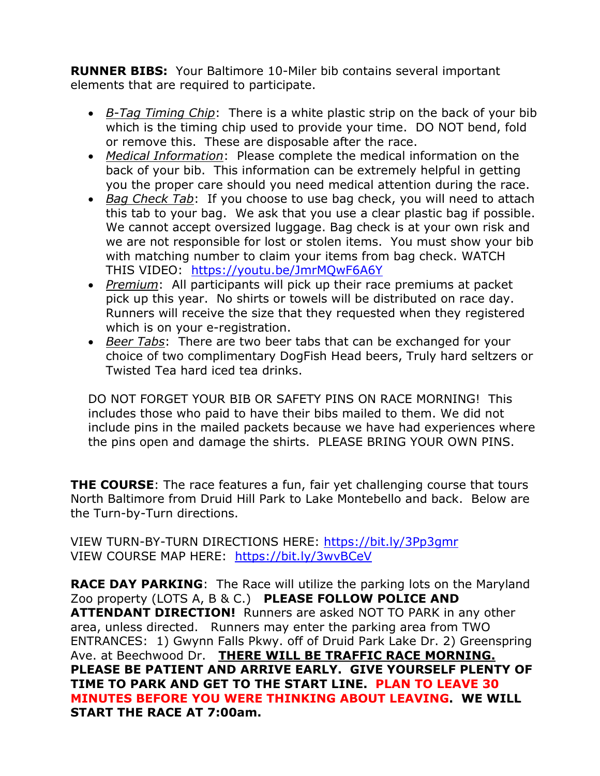**RUNNER BIBS:** Your Baltimore 10-Miler bib contains several important elements that are required to participate.

- *B-Tag Timing Chip*: There is a white plastic strip on the back of your bib which is the timing chip used to provide your time. DO NOT bend, fold or remove this. These are disposable after the race.
- *Medical Information*: Please complete the medical information on the back of your bib. This information can be extremely helpful in getting you the proper care should you need medical attention during the race.
- *Bag Check Tab*: If you choose to use bag check, you will need to attach this tab to your bag. We ask that you use a clear plastic bag if possible. We cannot accept oversized luggage. Bag check is at your own risk and we are not responsible for lost or stolen items. You must show your bib with matching number to claim your items from bag check. WATCH THIS VIDEO: <https://youtu.be/JmrMQwF6A6Y>
- *Premium*: All participants will pick up their race premiums at packet pick up this year. No shirts or towels will be distributed on race day. Runners will receive the size that they requested when they registered which is on your e-registration.
- *Beer Tabs*: There are two beer tabs that can be exchanged for your choice of two complimentary DogFish Head beers, Truly hard seltzers or Twisted Tea hard iced tea drinks.

DO NOT FORGET YOUR BIB OR SAFETY PINS ON RACE MORNING! This includes those who paid to have their bibs mailed to them. We did not include pins in the mailed packets because we have had experiences where the pins open and damage the shirts. PLEASE BRING YOUR OWN PINS.

**THE COURSE:** The race features a fun, fair yet challenging course that tours North Baltimore from Druid Hill Park to Lake Montebello and back. Below are the Turn-by-Turn directions.

VIEW TURN-BY-TURN DIRECTIONS HERE: <https://bit.ly/3Pp3gmr> VIEW COURSE MAP HERE: <https://bit.ly/3wvBCeV>

**RACE DAY PARKING:** The Race will utilize the parking lots on the Maryland Zoo property (LOTS A, B & C.) **PLEASE FOLLOW POLICE AND ATTENDANT DIRECTION!** Runners are asked NOT TO PARK in any other area, unless directed. Runners may enter the parking area from TWO ENTRANCES: 1) Gwynn Falls Pkwy. off of Druid Park Lake Dr. 2) Greenspring Ave. at Beechwood Dr. **THERE WILL BE TRAFFIC RACE MORNING. PLEASE BE PATIENT AND ARRIVE EARLY. GIVE YOURSELF PLENTY OF TIME TO PARK AND GET TO THE START LINE. PLAN TO LEAVE 30 MINUTES BEFORE YOU WERE THINKING ABOUT LEAVING. WE WILL START THE RACE AT 7:00am.**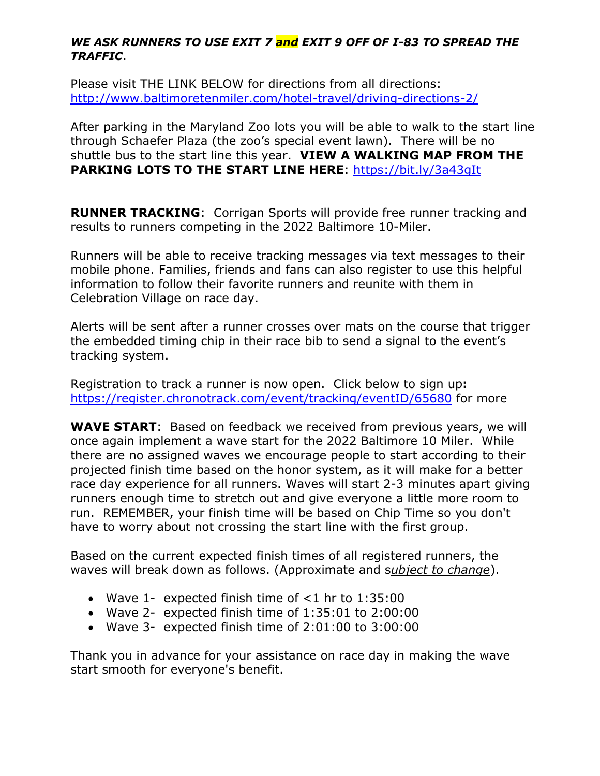#### *WE ASK RUNNERS TO USE EXIT 7 and EXIT 9 OFF OF I-83 TO SPREAD THE TRAFFIC*.

Please visit THE LINK BELOW for directions from all directions: <http://www.baltimoretenmiler.com/hotel-travel/driving-directions-2/>

After parking in the Maryland Zoo lots you will be able to walk to the start line through Schaefer Plaza (the zoo's special event lawn). There will be no shuttle bus to the start line this year. **VIEW A WALKING MAP FROM THE PARKING LOTS TO THE START LINE HERE**: <https://bit.ly/3a43gIt>

**RUNNER TRACKING**: Corrigan Sports will provide free runner tracking and results to runners competing in the 2022 Baltimore 10-Miler.

Runners will be able to receive tracking messages via text messages to their mobile phone. Families, friends and fans can also register to use this helpful information to follow their favorite runners and reunite with them in Celebration Village on race day.

Alerts will be sent after a runner crosses over mats on the course that trigger the embedded timing chip in their race bib to send a signal to the event's tracking system.

Registration to track a runner is now open. Click below to sign up**:** <https://register.chronotrack.com/event/tracking/eventID/65680> for more

**WAVE START**: Based on feedback we received from previous years, we will once again implement a wave start for the 2022 Baltimore 10 Miler. While there are no assigned waves we encourage people to start according to their projected finish time based on the honor system, as it will make for a better race day experience for all runners. Waves will start 2-3 minutes apart giving runners enough time to stretch out and give everyone a little more room to run. REMEMBER, your finish time will be based on Chip Time so you don't have to worry about not crossing the start line with the first group.

Based on the current expected finish times of all registered runners, the waves will break down as follows. (Approximate and s*ubject to change*).

- Wave 1- expected finish time of  $<$ 1 hr to 1:35:00
- Wave 2- expected finish time of 1:35:01 to 2:00:00
- Wave 3- expected finish time of 2:01:00 to 3:00:00

Thank you in advance for your assistance on race day in making the wave start smooth for everyone's benefit.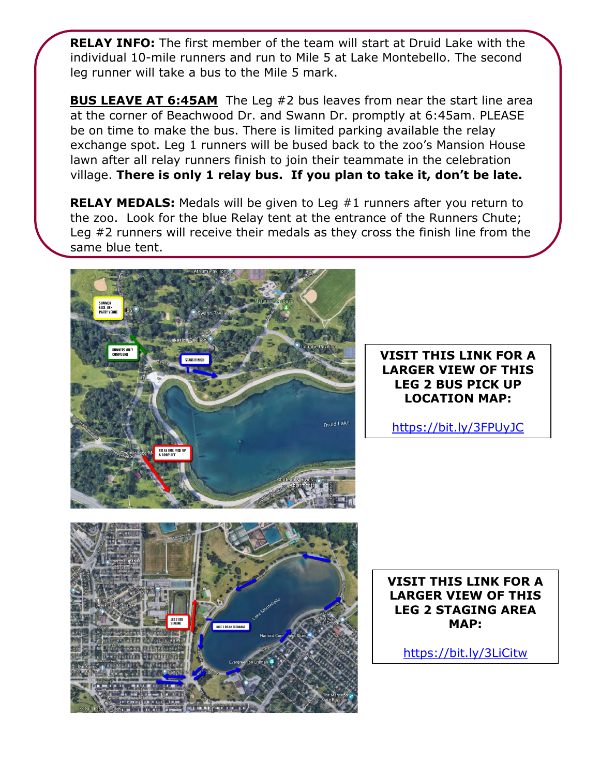**RELAY INFO:** The first member of the team will start at Druid Lake with the individual 10-mile runners and run to Mile 5 at Lake Montebello. The second leg runner will take a bus to the Mile 5 mark.

**BUS LEAVE AT 6:45AM** The Leg #2 bus leaves from near the start line area at the corner of Beachwood Dr. and Swann Dr. promptly at 6:45am. PLEASE be on time to make the bus. There is limited parking available the relay exchange spot. Leg 1 runners will be bused back to the zoo's Mansion House lawn after all relay runners finish to join their teammate in the celebration village. **There is only 1 relay bus. If you plan to take it, don't be late.**

**RELAY MEDALS:** Medals will be given to Leg #1 runners after you return to the zoo. Look for the blue Relay tent at the entrance of the Runners Chute; Leg #2 runners will receive their medals as they cross the finish line from the same blue tent.



### **VISIT THIS LINK FOR A LARGER VIEW OF THIS LEG 2 BUS PICK UP LOCATION MAP:**

<https://bit.ly/3FPUyJC>



**VISIT THIS LINK FOR A LARGER VIEW OF THIS LEG 2 STAGING AREA MAP:**

<https://bit.ly/3LiCitw>